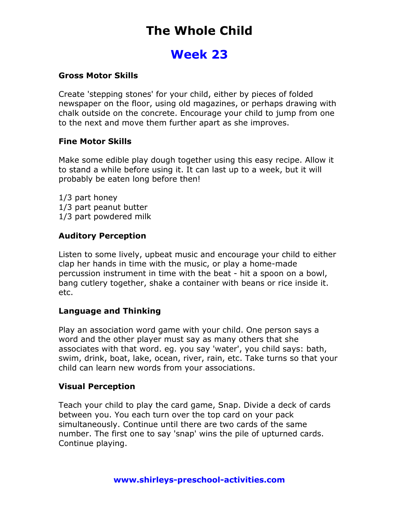# The Whole Child

# Week 23

### Gross Motor Skills

Create 'stepping stones' for your child, either by pieces of folded newspaper on the floor, using old magazines, or perhaps drawing with chalk outside on the concrete. Encourage your child to jump from one to the next and move them further apart as she improves.

#### Fine Motor Skills

Make some edible play dough together using this easy recipe. Allow it to stand a while before using it. It can last up to a week, but it will probably be eaten long before then!

1/3 part honey 1/3 part peanut butter 1/3 part powdered milk

# Auditory Perception

Listen to some lively, upbeat music and encourage your child to either clap her hands in time with the music, or play a home-made percussion instrument in time with the beat - hit a spoon on a bowl, bang cutlery together, shake a container with beans or rice inside it. etc.

# Language and Thinking

Play an association word game with your child. One person says a word and the other player must say as many others that she associates with that word. eg. you say 'water', you child says: bath, swim, drink, boat, lake, ocean, river, rain, etc. Take turns so that your child can learn new words from your associations.

# Visual Perception

Teach your child to play the card game, Snap. Divide a deck of cards between you. You each turn over the top card on your pack simultaneously. Continue until there are two cards of the same number. The first one to say 'snap' wins the pile of upturned cards. Continue playing.